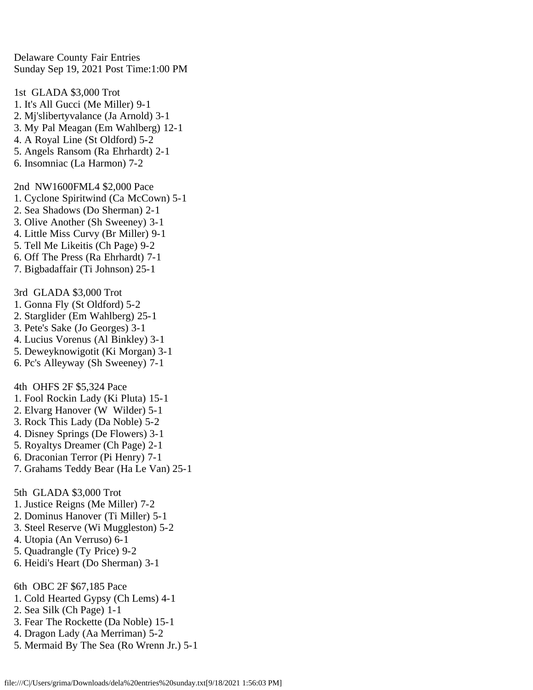Delaware County Fair Entries Sunday Sep 19, 2021 Post Time:1:00 PM

1st GLADA \$3,000 Trot 1. It's All Gucci (Me Miller) 9-1 2. Mj'slibertyvalance (Ja Arnold) 3-1 3. My Pal Meagan (Em Wahlberg) 12-1

- 4. A Royal Line (St Oldford) 5-2
- 5. Angels Ransom (Ra Ehrhardt) 2-1
- 6. Insomniac (La Harmon) 7-2

2nd NW1600FML4 \$2,000 Pace

- 1. Cyclone Spiritwind (Ca McCown) 5-1
- 2. Sea Shadows (Do Sherman) 2-1
- 3. Olive Another (Sh Sweeney) 3-1
- 4. Little Miss Curvy (Br Miller) 9-1
- 5. Tell Me Likeitis (Ch Page) 9-2
- 6. Off The Press (Ra Ehrhardt) 7-1
- 7. Bigbadaffair (Ti Johnson) 25-1

3rd GLADA \$3,000 Trot

- 1. Gonna Fly (St Oldford) 5-2
- 2. Starglider (Em Wahlberg) 25-1
- 3. Pete's Sake (Jo Georges) 3-1
- 4. Lucius Vorenus (Al Binkley) 3-1
- 5. Deweyknowigotit (Ki Morgan) 3-1
- 6. Pc's Alleyway (Sh Sweeney) 7-1

4th OHFS 2F \$5,324 Pace

- 1. Fool Rockin Lady (Ki Pluta) 15-1
- 2. Elvarg Hanover (W Wilder) 5-1
- 3. Rock This Lady (Da Noble) 5-2
- 4. Disney Springs (De Flowers) 3-1
- 5. Royaltys Dreamer (Ch Page) 2-1
- 6. Draconian Terror (Pi Henry) 7-1
- 7. Grahams Teddy Bear (Ha Le Van) 25-1

5th GLADA \$3,000 Trot

- 1. Justice Reigns (Me Miller) 7-2
- 2. Dominus Hanover (Ti Miller) 5-1
- 3. Steel Reserve (Wi Muggleston) 5-2
- 4. Utopia (An Verruso) 6-1
- 5. Quadrangle (Ty Price) 9-2
- 6. Heidi's Heart (Do Sherman) 3-1

6th OBC 2F \$67,185 Pace

- 1. Cold Hearted Gypsy (Ch Lems) 4-1
- 2. Sea Silk (Ch Page) 1-1
- 3. Fear The Rockette (Da Noble) 15-1
- 4. Dragon Lady (Aa Merriman) 5-2
- 5. Mermaid By The Sea (Ro Wrenn Jr.) 5-1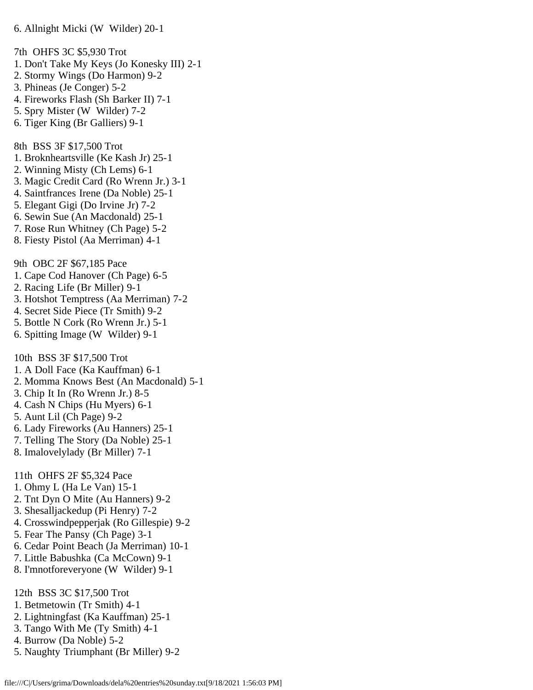7th OHFS 3C \$5,930 Trot 1. Don't Take My Keys (Jo Konesky III) 2-1 2. Stormy Wings (Do Harmon) 9-2 3. Phineas (Je Conger) 5-2 4. Fireworks Flash (Sh Barker II) 7-1 5. Spry Mister (W Wilder) 7-2 6. Tiger King (Br Galliers) 9-1 8th BSS 3F \$17,500 Trot 1. Broknheartsville (Ke Kash Jr) 25-1 2. Winning Misty (Ch Lems) 6-1 3. Magic Credit Card (Ro Wrenn Jr.) 3-1 4. Saintfrances Irene (Da Noble) 25-1 5. Elegant Gigi (Do Irvine Jr) 7-2 6. Sewin Sue (An Macdonald) 25-1 7. Rose Run Whitney (Ch Page) 5-2 8. Fiesty Pistol (Aa Merriman) 4-1 9th OBC 2F \$67,185 Pace 1. Cape Cod Hanover (Ch Page) 6-5 2. Racing Life (Br Miller) 9-1 3. Hotshot Temptress (Aa Merriman) 7-2 4. Secret Side Piece (Tr Smith) 9-2 5. Bottle N Cork (Ro Wrenn Jr.) 5-1 6. Spitting Image (W Wilder) 9-1 10th BSS 3F \$17,500 Trot 1. A Doll Face (Ka Kauffman) 6-1 2. Momma Knows Best (An Macdonald) 5-1 3. Chip It In (Ro Wrenn Jr.) 8-5 4. Cash N Chips (Hu Myers) 6-1 5. Aunt Lil (Ch Page) 9-2 6. Lady Fireworks (Au Hanners) 25-1 7. Telling The Story (Da Noble) 25-1 8. Imalovelylady (Br Miller) 7-1 11th OHFS 2F \$5,324 Pace 1. Ohmy L (Ha Le Van) 15-1 2. Tnt Dyn O Mite (Au Hanners) 9-2 3. Shesalljackedup (Pi Henry) 7-2 4. Crosswindpepperjak (Ro Gillespie) 9-2 5. Fear The Pansy (Ch Page) 3-1 6. Cedar Point Beach (Ja Merriman) 10-1 7. Little Babushka (Ca McCown) 9-1 8. I'mnotforeveryone (W Wilder) 9-1

- 12th BSS 3C \$17,500 Trot
- 1. Betmetowin (Tr Smith) 4-1
- 2. Lightningfast (Ka Kauffman) 25-1
- 3. Tango With Me (Ty Smith) 4-1
- 4. Burrow (Da Noble) 5-2
- 5. Naughty Triumphant (Br Miller) 9-2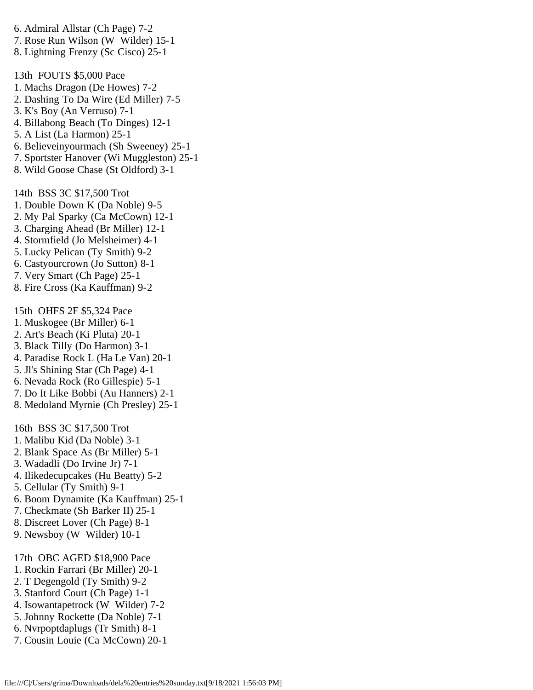6. Admiral Allstar (Ch Page) 7-2

- 7. Rose Run Wilson (W Wilder) 15-1
- 8. Lightning Frenzy (Sc Cisco) 25-1

13th FOUTS \$5,000 Pace

- 1. Machs Dragon (De Howes) 7-2
- 2. Dashing To Da Wire (Ed Miller) 7-5
- 3. K's Boy (An Verruso) 7-1
- 4. Billabong Beach (To Dinges) 12-1
- 5. A List (La Harmon) 25-1
- 6. Believeinyourmach (Sh Sweeney) 25-1
- 7. Sportster Hanover (Wi Muggleston) 25-1
- 8. Wild Goose Chase (St Oldford) 3-1

14th BSS 3C \$17,500 Trot

- 1. Double Down K (Da Noble) 9-5
- 2. My Pal Sparky (Ca McCown) 12-1
- 3. Charging Ahead (Br Miller) 12-1
- 4. Stormfield (Jo Melsheimer) 4-1
- 5. Lucky Pelican (Ty Smith) 9-2
- 6. Castyourcrown (Jo Sutton) 8-1
- 7. Very Smart (Ch Page) 25-1
- 8. Fire Cross (Ka Kauffman) 9-2

15th OHFS 2F \$5,324 Pace

- 1. Muskogee (Br Miller) 6-1
- 2. Art's Beach (Ki Pluta) 20-1
- 3. Black Tilly (Do Harmon) 3-1
- 4. Paradise Rock L (Ha Le Van) 20-1
- 5. Jl's Shining Star (Ch Page) 4-1
- 6. Nevada Rock (Ro Gillespie) 5-1
- 7. Do It Like Bobbi (Au Hanners) 2-1
- 8. Medoland Myrnie (Ch Presley) 25-1

16th BSS 3C \$17,500 Trot

- 1. Malibu Kid (Da Noble) 3-1
- 2. Blank Space As (Br Miller) 5-1
- 3. Wadadli (Do Irvine Jr) 7-1
- 4. Ilikedecupcakes (Hu Beatty) 5-2
- 5. Cellular (Ty Smith) 9-1
- 6. Boom Dynamite (Ka Kauffman) 25-1
- 7. Checkmate (Sh Barker II) 25-1
- 8. Discreet Lover (Ch Page) 8-1
- 9. Newsboy (W Wilder) 10-1

## 17th OBC AGED \$18,900 Pace

- 1. Rockin Farrari (Br Miller) 20-1
- 2. T Degengold (Ty Smith) 9-2
- 3. Stanford Court (Ch Page) 1-1
- 4. Isowantapetrock (W Wilder) 7-2
- 5. Johnny Rockette (Da Noble) 7-1
- 6. Nvrpoptdaplugs (Tr Smith) 8-1
- 7. Cousin Louie (Ca McCown) 20-1